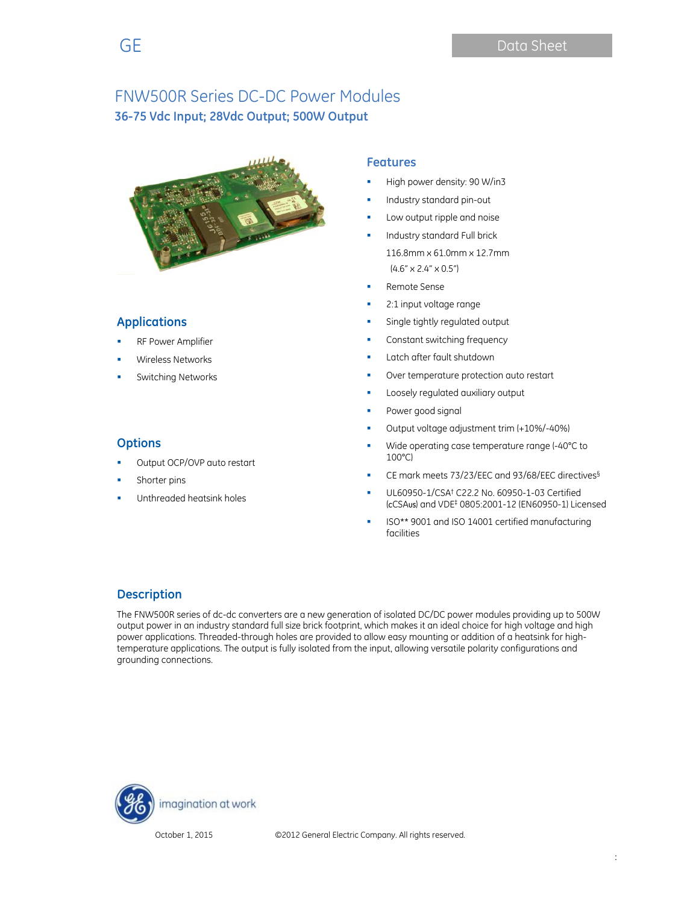

### **Applications**

**Options** 

- RF Power Amplifier
- Wireless Networks
- Switching Networks

Shorter pins

Output OCP/OVP auto restart

Unthreaded heatsink holes

### **Features**

- High power density: 90 W/in3
- Industry standard pin-out
- Low output ripple and noise
- Industry standard Full brick 116.8mm x 61.0mm x 12.7mm  $(4.6" \times 2.4" \times 0.5")$
- Remote Sense
- 2:1 input voltage range
- Single tightly regulated output
- Constant switching frequency
- **Latch after fault shutdown**
- Over temperature protection auto restart
- **Loosely regulated auxiliary output**
- Power good signal
- Output voltage adjustment trim (+10%/-40%)
- Wide operating case temperature range (-40°C to 100°C)
- CE mark meets 73/23/EEC and 93/68/EEC directives§
- UL60950-1/CSA† C22.2 No. 60950-1-03 Certified (**C**CSA**US**) and VDE‡ 0805:2001-12 (EN60950-1) Licensed
- ISO\*\* 9001 and ISO 14001 certified manufacturing facilities

# **Description**

The FNW500R series of dc-dc converters are a new generation of isolated DC/DC power modules providing up to 500W output power in an industry standard full size brick footprint, which makes it an ideal choice for high voltage and high power applications. Threaded-through holes are provided to allow easy mounting or addition of a heatsink for hightemperature applications. The output is fully isolated from the input, allowing versatile polarity configurations and grounding connections.

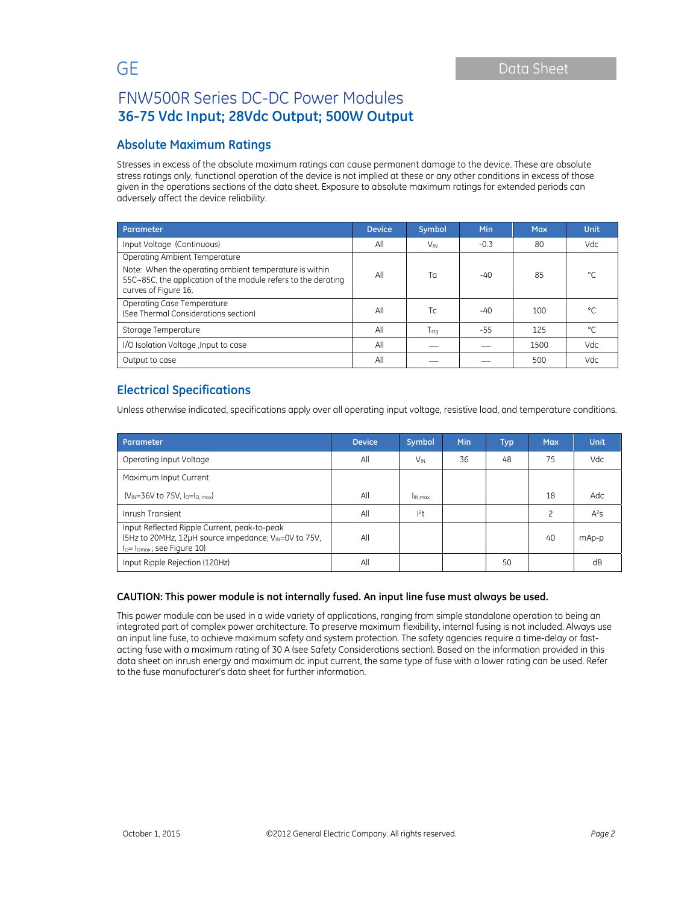### **Absolute Maximum Ratings**

Stresses in excess of the absolute maximum ratings can cause permanent damage to the device. These are absolute stress ratings only, functional operation of the device is not implied at these or any other conditions in excess of those given in the operations sections of the data sheet. Exposure to absolute maximum ratings for extended periods can adversely affect the device reliability.

| Parameter                                                                                                                                       | <b>Device</b> | Symbol                | <b>Min</b> | <b>Max</b> | Unit    |
|-------------------------------------------------------------------------------------------------------------------------------------------------|---------------|-----------------------|------------|------------|---------|
| Input Voltage (Continuous)                                                                                                                      | All           | <b>V<sub>IN</sub></b> | $-0.3$     | 80         | Vdc.    |
| Operating Ambient Temperature                                                                                                                   |               |                       |            |            |         |
| Note: When the operating ambient temperature is within<br>55C~85C, the application of the module refers to the derating<br>curves of Figure 16. | All           | Тα                    | $-40$      | 85         | $\circ$ |
| Operating Case Temperature<br>(See Thermal Considerations section)                                                                              | All           | Tc.                   | $-40$      | 100        | °۲      |
| Storage Temperature                                                                                                                             | All           | $T_{\text{stq}}$      | -55        | 125        | °C      |
| I/O Isolation Voltage, Input to case                                                                                                            | All           |                       |            | 1500       | Vdc     |
| Output to case                                                                                                                                  | All           |                       |            | 500        | Vdc.    |

## **Electrical Specifications**

Unless otherwise indicated, specifications apply over all operating input voltage, resistive load, and temperature conditions.

| Parameter                                                                                                                                         | <b>Device</b> | Symbol   | Min | Typ | <b>Max</b> | Unit   |
|---------------------------------------------------------------------------------------------------------------------------------------------------|---------------|----------|-----|-----|------------|--------|
| Operating Input Voltage                                                                                                                           | All           | $V_{IN}$ | 36  | 48  | 75         | Vdc.   |
| Maximum Input Current                                                                                                                             |               |          |     |     |            |        |
| $(V_{IN} = 36V$ to 75V, $I_0 = I_0$ max)                                                                                                          | All           | IN max   |     |     | 18         | Adc    |
| Inrush Transient                                                                                                                                  | All           | 2t       |     |     | 2          | $A^2S$ |
| Input Reflected Ripple Current, peak-to-peak<br>(5Hz to 20MHz, 12µH source impedance; V <sub>IN</sub> =0V to 75V,<br>$I0= I0max$ ; see Figure 10) | All           |          |     |     | 40         | mAp-p  |
| Input Ripple Rejection (120Hz)                                                                                                                    | All           |          |     | 50  |            | dB     |

### **CAUTION: This power module is not internally fused. An input line fuse must always be used.**

This power module can be used in a wide variety of applications, ranging from simple standalone operation to being an integrated part of complex power architecture. To preserve maximum flexibility, internal fusing is not included. Always use an input line fuse, to achieve maximum safety and system protection. The safety agencies require a time-delay or fastacting fuse with a maximum rating of 30 A (see Safety Considerations section). Based on the information provided in this data sheet on inrush energy and maximum dc input current, the same type of fuse with a lower rating can be used. Refer to the fuse manufacturer's data sheet for further information.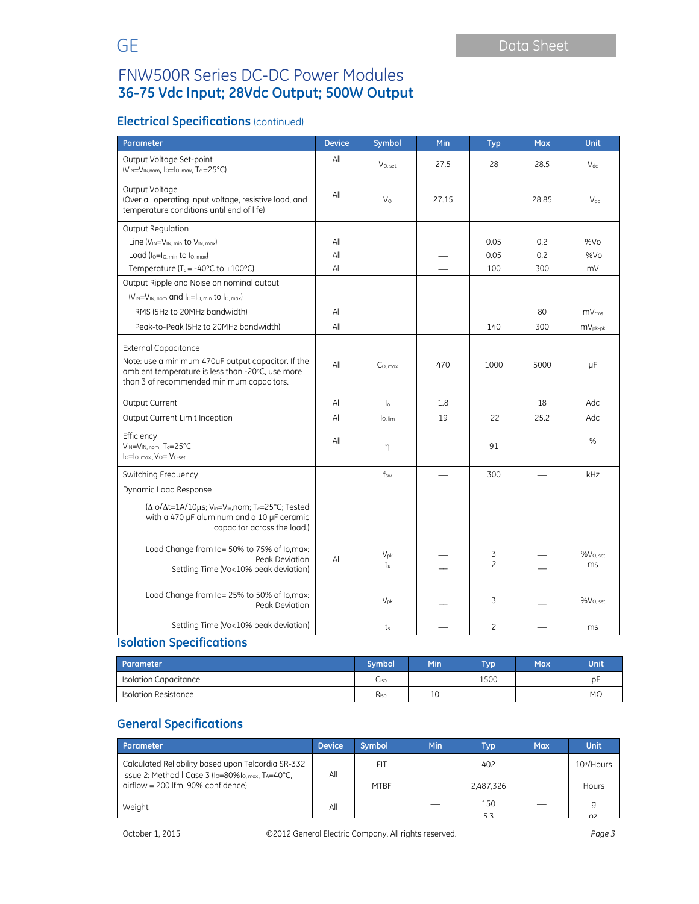# **Electrical Specifications** (continued)

| Parameter                                                                                                                                                                                                                                                          | <b>Device</b>     | Symbol              | Min   | <b>Typ</b>          | <b>Max</b>        | <b>Unit</b>                              |
|--------------------------------------------------------------------------------------------------------------------------------------------------------------------------------------------------------------------------------------------------------------------|-------------------|---------------------|-------|---------------------|-------------------|------------------------------------------|
| Output Voltage Set-point<br>$(V_{IN} = V_{IN,nom}$ , $I_0 = I_0$ , $_{max}$ , $T_c = 25^{\circ}C$                                                                                                                                                                  | All               | $V_{O.}$ set        | 27.5  | 28                  | 28.5              | $V_{dc}$                                 |
| Output Voltage<br>(Over all operating input voltage, resistive load, and<br>temperature conditions until end of life)                                                                                                                                              | All               | $V_{\rm O}$         | 27.15 |                     | 28.85             | $V_{dc}$                                 |
| Output Regulation<br>Line $(V_{IN} = V_{IN. min}$ to $V_{IN. max}$<br>Load $(I0=I0. min$ to $I0. max$<br>Temperature (T <sub>c</sub> = -40 $\degree$ C to +100 $\degree$ C)                                                                                        | All<br>All<br>All |                     |       | 0.05<br>0.05<br>100 | 0.2<br>0.2<br>300 | %Vo<br>%Vo<br>mV                         |
| Output Ripple and Noise on nominal output<br>(VIN=VIN, nom and lo=lo, min to lo, max)<br>RMS (5Hz to 20MHz bandwidth)<br>Peak-to-Peak (5Hz to 20MHz bandwidth)                                                                                                     | All<br>All        |                     |       | 140                 | 80<br>300         | mV <sub>rms</sub><br>$mV_{\text{pk-bk}}$ |
| <b>External Capacitance</b><br>Note: use a minimum 470uF output capacitor. If the<br>ambient temperature is less than -20°C, use more<br>than 3 of recommended minimum capacitors.                                                                                 | All               | C <sub>0. max</sub> | 470   | 1000                | 5000              | μF                                       |
| Output Current                                                                                                                                                                                                                                                     | All               | $\mathsf{I}_\circ$  | 1.8   |                     | 18                | Adc                                      |
| Output Current Limit Inception                                                                                                                                                                                                                                     | All               | lo, lim             | 19    | 22                  | 25.2              | Adc                                      |
| Efficiency<br>VIN=VIN, nom, Tc=25°C<br>$I_0 = I_0$ max $V_0 = V_0$ set                                                                                                                                                                                             | All               | η                   |       | 91                  |                   | %                                        |
| Switching Frequency                                                                                                                                                                                                                                                |                   | $f_{sw}$            |       | 300                 |                   | kHz                                      |
| Dynamic Load Response<br>( $\Delta$ lo/ $\Delta$ t=1A/10 $\mu$ s; V <sub>in</sub> =V <sub>in</sub> , nom; T <sub>c</sub> =25°C; Tested<br>with a 470 µF aluminum and a 10 µF ceramic<br>capacitor across the load.)<br>Load Change from Io= 50% to 75% of Io, max: |                   |                     |       |                     |                   |                                          |
| Peak Deviation<br>Settling Time (Vo<10% peak deviation)                                                                                                                                                                                                            | All               | $V_{pk}$<br>$t_{s}$ |       | 3<br>$\overline{c}$ |                   | $%V_{O,set}$<br>ms                       |
| Load Change from Io= 25% to 50% of Io, max:<br>Peak Deviation                                                                                                                                                                                                      |                   | $V_{\text{ok}}$     |       | 3                   |                   | $%V_{O, set}$                            |
| Settling Time (Vo<10% peak deviation)                                                                                                                                                                                                                              |                   | $t_{s}$             |       | $\overline{c}$      |                   | ms                                       |

# **Isolation Specifications**

| Parameter                    | Symbol <sup>1</sup> | <b>Min</b>                      | <b>Typ</b>                    | Max                           | Unit |
|------------------------------|---------------------|---------------------------------|-------------------------------|-------------------------------|------|
| <b>Isolation Capacitance</b> | <b>Ciso</b>         | $\overbrace{\qquad \qquad }^{}$ | 1500                          |                               | рŀ   |
| Isolation Resistance         | Riso                | 10                              | $\overbrace{\phantom{12333}}$ | $\overbrace{\phantom{12332}}$ | МΩ   |

# **General Specifications**

| Parameter                                                                                                                                      | <b>Device</b> | <b>Symbol</b> | <b>Min</b> | Typ                    | <b>Max</b> | Unit   |
|------------------------------------------------------------------------------------------------------------------------------------------------|---------------|---------------|------------|------------------------|------------|--------|
| Calculated Reliability based upon Telcordia SR-332<br>Issue 2: Method I Case 3 (I <sub>0</sub> =80%I <sub>0. max</sub> , T <sub>A</sub> =40°C, | All           | FIT           |            | 10 <sup>9</sup> /Hours |            |        |
| airflow = 200 lfm, 90% confidence)                                                                                                             |               | <b>MTBF</b>   |            | 2,487,326              |            | Hours  |
| Weight                                                                                                                                         | All           |               |            | 150                    |            |        |
|                                                                                                                                                |               |               |            |                        |            | $\sim$ |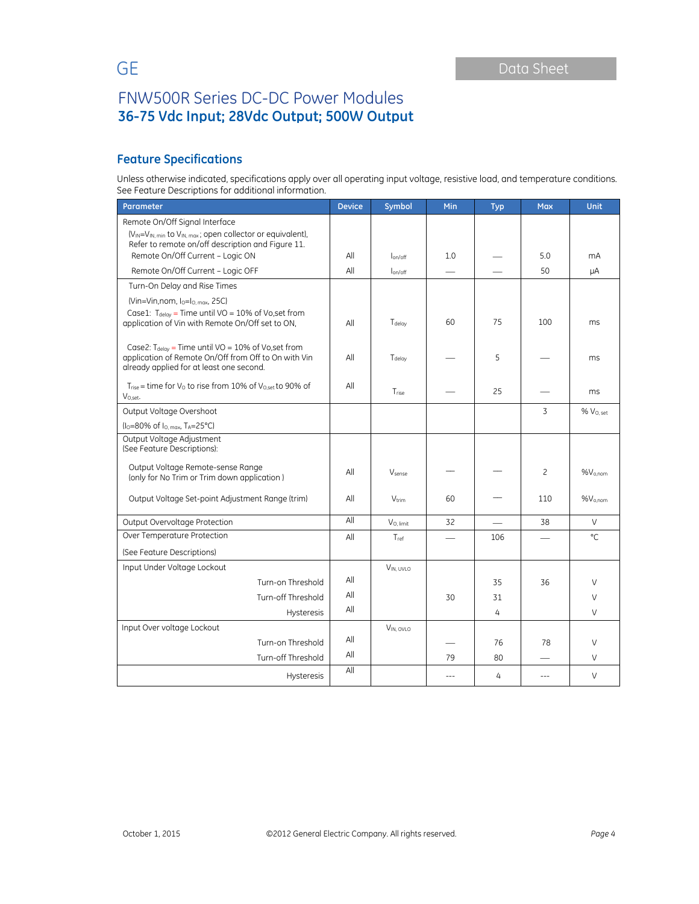# **Feature Specifications**

Unless otherwise indicated, specifications apply over all operating input voltage, resistive load, and temperature conditions. See Feature Descriptions for additional information.

| Parameter                                                                                                                                                    | <b>Device</b> | Symbol                   | Min   | <b>Typ</b> | <b>Max</b> | <b>Unit</b>         |
|--------------------------------------------------------------------------------------------------------------------------------------------------------------|---------------|--------------------------|-------|------------|------------|---------------------|
| Remote On/Off Signal Interface                                                                                                                               |               |                          |       |            |            |                     |
| (V <sub>IN</sub> =V <sub>IN, min</sub> to V <sub>IN, max</sub> ; open collector or equivalent),<br>Refer to remote on/off description and Figure 11.         |               |                          |       |            |            |                     |
| Remote On/Off Current - Logic ON                                                                                                                             | All           | lon/off                  | 1.0   |            | 5.0        | mA                  |
| Remote On/Off Current - Logic OFF                                                                                                                            | All           | l <sub>on/off</sub>      |       |            | 50         | μA                  |
| Turn-On Delay and Rise Times                                                                                                                                 |               |                          |       |            |            |                     |
| $(Vin=Vin, nom, lo=lo, max, 25C)$                                                                                                                            |               |                          |       |            |            |                     |
| Case1: $T_{delay}$ = Time until VO = 10% of Vo, set from<br>application of Vin with Remote On/Off set to ON.                                                 | All           | Tdelay                   | 60    | 75         | 100        | ms                  |
| Case2: $T_{delay}$ = Time until VO = 10% of Vo, set from<br>application of Remote On/Off from Off to On with Vin<br>already applied for at least one second. | All           | Tdelay                   |       | 5          |            | ms                  |
| $T_{rise}$ = time for $V_{O}$ to rise from 10% of $V_{O,set}$ to 90% of<br>V <sub>O.set</sub> .                                                              | All           | Trise                    |       | 25         |            | ms                  |
| Output Voltage Overshoot                                                                                                                                     |               |                          |       |            | 3          | $%$ $V0$ set        |
| (I <sub>O</sub> =80% of I <sub>O, max</sub> , T <sub>A</sub> =25°C)                                                                                          |               |                          |       |            |            |                     |
| Output Voltage Adjustment<br>(See Feature Descriptions):                                                                                                     |               |                          |       |            |            |                     |
| Output Voltage Remote-sense Range<br>(only for No Trim or Trim down application)                                                                             | All           | Vsense                   |       |            | 2          | %V <sub>o,nom</sub> |
| Output Voltage Set-point Adjustment Range (trim)                                                                                                             | All           | <b>V</b> <sub>trim</sub> | 60    |            | 110        | $%V_{o,nom}$        |
| Output Overvoltage Protection                                                                                                                                | All           | V <sub>O</sub> , limit   | 32    |            | 38         | V                   |
| Over Temperature Protection                                                                                                                                  | All           | Tref                     |       | 106        |            | °C                  |
| (See Feature Descriptions)                                                                                                                                   |               |                          |       |            |            |                     |
| Input Under Voltage Lockout                                                                                                                                  |               | VIN UVIO                 |       |            |            |                     |
| Turn-on Threshold                                                                                                                                            | All           |                          |       | 35         | 36         | V                   |
| Turn-off Threshold                                                                                                                                           | All           |                          | 30    | 31         |            | $\vee$              |
| <b>Hysteresis</b>                                                                                                                                            | All           |                          |       | 4          |            | V                   |
| Input Over voltage Lockout                                                                                                                                   |               | $V_{IN, OVLO}$           |       |            |            |                     |
| Turn-on Threshold                                                                                                                                            | All           |                          |       | 76         | 78         | V                   |
| Turn-off Threshold                                                                                                                                           | All           |                          | 79    | 80         |            | V                   |
| <b>Hysteresis</b>                                                                                                                                            | All           |                          | $---$ | 4          | $---$      | V                   |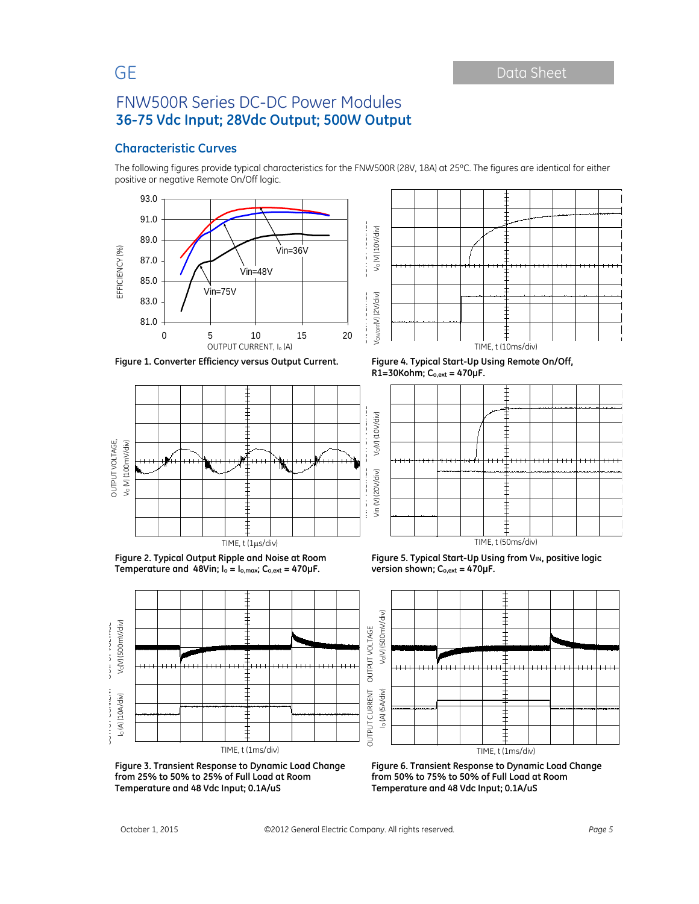### **Characteristic Curves**

The following figures provide typical characteristics for the FNW500R (28V, 18A) at 25ºC. The figures are identical for either positive or negative Remote On/Off logic.





**Figure 1. Converter Efficiency versus Output Current. Figure 4. Typical Start-Up Using Remote On/Off,**



**Figure 2. Typical Output Ripple and Noise at Room Temperature and 48Vin; Io = Io,max; Co,ext = 470µF.** 



**Figure 3. Transient Response to Dynamic Load Change from 25% to 50% to 25% of Full Load at Room Temperature and 48 Vdc Input; 0.1A/uS** 

**R1=30Kohm; Co,ext = 470µF.** 







**Figure 6. Transient Response to Dynamic Load Change from 50% to 75% to 50% of Full Load at Room Temperature and 48 Vdc Input; 0.1A/uS**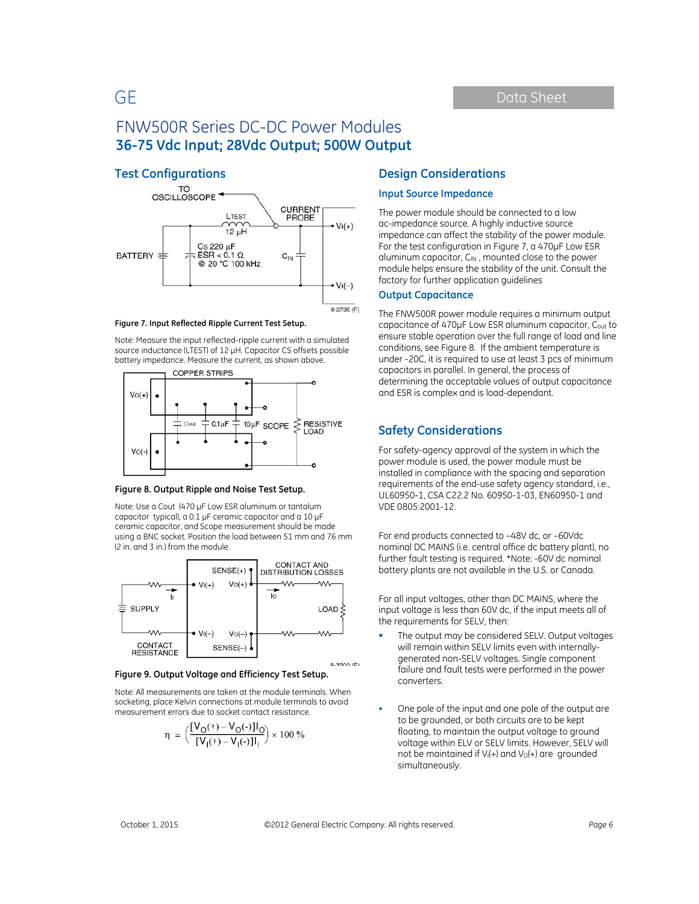### **Test Configurations**



**Figure 7. Input Reflected Ripple Current Test Setup.**

Note: Measure the input reflected-ripple current with a simulated source inductance (LTEST) of 12 µH. Capacitor CS offsets possible battery impedance. Measure the current, as shown above.



#### **Figure 8. Output Ripple and Noise Test Setup.**

Note: Use a Cout (470 µF Low ESR aluminum or tantalum capacitor typical), a 0.1 µF ceramic capacitor and a 10 µF ceramic capacitor, and Scope measurement should be made using a BNC socket. Position the load between 51 mm and 76 mm (2 in. and 3 in.) from the module.



#### **Figure 9. Output Voltage and Efficiency Test Setup.**

Note: All measurements are taken at the module terminals. When socketing, place Kelvin connections at module terminals to avoid measurement errors due to socket contact resistance.

$$
\eta = \left(\frac{[V_O(+) - V_O(-)]I_O}{[V_I(+) - V_I(-)]I_I}\right) \times 100\%
$$

### **Design Considerations**

### **Input Source Impedance**

The power module should be connected to a low ac-impedance source. A highly inductive source impedance can affect the stability of the power module. For the test configuration in Figure 7, a 470μF Low ESR aluminum capacitor, CIN, mounted close to the power module helps ensure the stability of the unit. Consult the factory for further application guidelines

### **Output Capacitance**

The FNW500R power module requires a minimum output capacitance of 470µF Low ESR aluminum capacitor, Cout to ensure stable operation over the full range of load and line conditions, see Figure 8. If the ambient temperature is under -20C, it is required to use at least 3 pcs of minimum capacitors in parallel. In general, the process of determining the acceptable values of output capacitance and ESR is complex and is load-dependant.

### **Safety Considerations**

For safety-agency approval of the system in which the power module is used, the power module must be installed in compliance with the spacing and separation requirements of the end-use safety agency standard, i.e., UL60950-1, CSA C22.2 No. 60950-1-03, EN60950-1 and VDE 0805:2001-12.

For end products connected to –48V dc, or –60Vdc nominal DC MAINS (i.e. central office dc battery plant), no further fault testing is required. \*Note: -60V dc nominal battery plants are not available in the U.S. or Canada.

For all input voltages, other than DC MAINS, where the input voltage is less than 60V dc, if the input meets all of the requirements for SELV, then:

- The output may be considered SELV. Output voltages will remain within SELV limits even with internallygenerated non-SELV voltages. Single component failure and fault tests were performed in the power converters.
- One pole of the input and one pole of the output are to be grounded, or both circuits are to be kept floating, to maintain the output voltage to ground voltage within ELV or SELV limits. However, SELV will not be maintained if  $V_1(+)$  and  $V_0(+)$  are grounded simultaneously.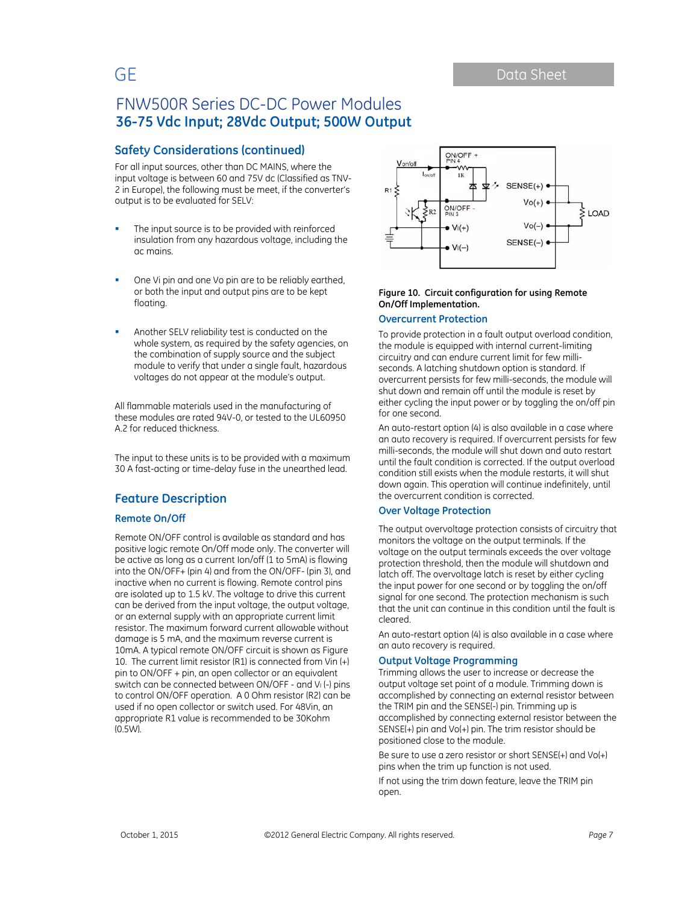### **Safety Considerations (continued)**

For all input sources, other than DC MAINS, where the input voltage is between 60 and 75V dc (Classified as TNV-2 in Europe), the following must be meet, if the converter's output is to be evaluated for SELV:

- The input source is to be provided with reinforced insulation from any hazardous voltage, including the ac mains.
- One Vi pin and one Vo pin are to be reliably earthed, or both the input and output pins are to be kept floating.
- Another SELV reliability test is conducted on the whole system, as required by the safety agencies, on the combination of supply source and the subject module to verify that under a single fault, hazardous voltages do not appear at the module's output.

All flammable materials used in the manufacturing of these modules are rated 94V-0, or tested to the UL60950 A.2 for reduced thickness.

The input to these units is to be provided with a maximum 30 A fast-acting or time-delay fuse in the unearthed lead.

### **Feature Description**

### **Remote On/Off**

Remote ON/OFF control is available as standard and has positive logic remote On/Off mode only. The converter will be active as long as a current Ion/off (1 to 5mA) is flowing into the ON/OFF+ (pin 4) and from the ON/OFF- (pin 3), and inactive when no current is flowing. Remote control pins are isolated up to 1.5 kV. The voltage to drive this current can be derived from the input voltage, the output voltage, or an external supply with an appropriate current limit resistor. The maximum forward current allowable without damage is 5 mA, and the maximum reverse current is 10mA. A typical remote ON/OFF circuit is shown as Figure 10. The current limit resistor (R1) is connected from Vin (+) pin to ON/OFF + pin, an open collector or an equivalent switch can be connected between ON/OFF - and V<sub>I</sub> (-) pins to control ON/OFF operation. A 0 Ohm resistor (R2) can be used if no open collector or switch used. For 48Vin, an appropriate R1 value is recommended to be 30Kohm (0.5W).



#### **Figure 10. Circuit configuration for using Remote On/Off Implementation.**

### **Overcurrent Protection**

To provide protection in a fault output overload condition, the module is equipped with internal current-limiting circuitry and can endure current limit for few milliseconds. A latching shutdown option is standard. If overcurrent persists for few milli-seconds, the module will shut down and remain off until the module is reset by either cycling the input power or by toggling the on/off pin for one second.

An auto-restart option (4) is also available in a case where an auto recovery is required. If overcurrent persists for few milli-seconds, the module will shut down and auto restart until the fault condition is corrected. If the output overload condition still exists when the module restarts, it will shut down again. This operation will continue indefinitely, until the overcurrent condition is corrected.

### **Over Voltage Protection**

The output overvoltage protection consists of circuitry that monitors the voltage on the output terminals. If the voltage on the output terminals exceeds the over voltage protection threshold, then the module will shutdown and latch off. The overvoltage latch is reset by either cycling the input power for one second or by toggling the on/off signal for one second. The protection mechanism is such that the unit can continue in this condition until the fault is cleared.

An auto-restart option (4) is also available in a case where an auto recovery is required.

### **Output Voltage Programming**

Trimming allows the user to increase or decrease the output voltage set point of a module. Trimming down is accomplished by connecting an external resistor between the TRIM pin and the SENSE(-) pin. Trimming up is accomplished by connecting external resistor between the SENSE(+) pin and Vo(+) pin. The trim resistor should be positioned close to the module.

Be sure to use a zero resistor or short SENSE(+) and Vo(+) pins when the trim up function is not used.

If not using the trim down feature, leave the TRIM pin open.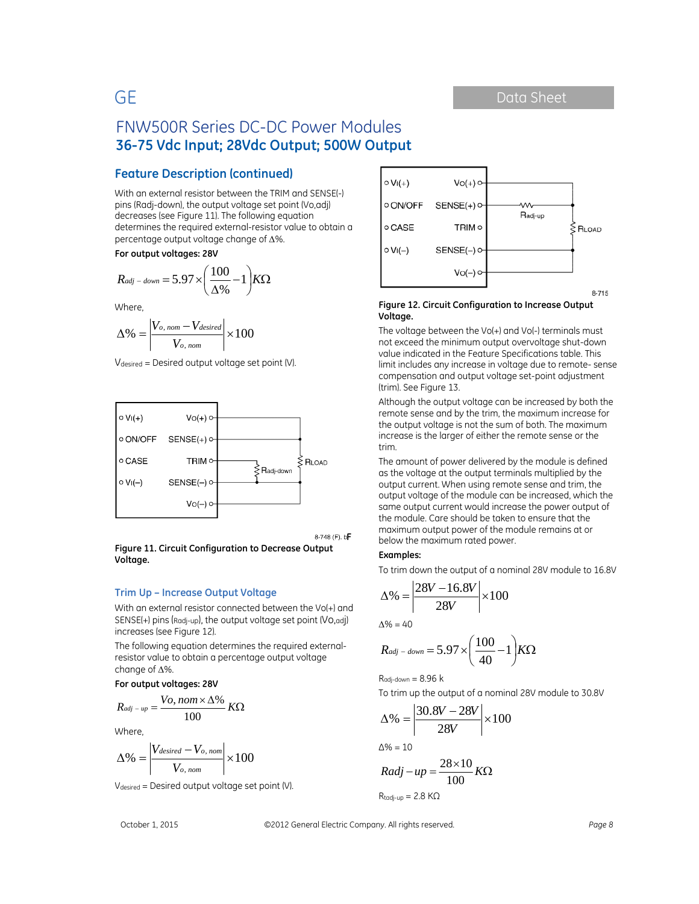### **Feature Description (continued)**

With an external resistor between the TRIM and SENSE(-) pins (Radj-down), the output voltage set point (Vo,adj) decreases (see Figure 11). The following equation determines the required external-resistor value to obtain a percentage output voltage change of  $\Delta\%$ .

**For output voltages: 28V** 

$$
R_{adj-down} = 5.97 \times \left(\frac{100}{\Delta\%} - 1\right) K\Omega
$$

Where,

$$
\Delta\% = \left| \frac{V_{o,\,nom} - V_{desired}}{V_{o,\,nom}} \right| \times 100
$$

Vdesired = Desired output voltage set point (V).



8-748 (F). b<sub>P</sub>

**Figure 11. Circuit Configuration to Decrease Output Voltage.** 

### **Trim Up – Increase Output Voltage**

With an external resistor connected between the Vo(+) and SENSE(+) pins (Radj-up), the output voltage set point (Vo,adj) increases (see Figure 12).

The following equation determines the required externalresistor value to obtain a percentage output voltage change of  $\Delta\%$ .

**For output voltages: 28V** 

$$
R_{adj-up} = \frac{V_o, nom \times \Delta\%}{100} \, K\Omega
$$

Where,

$$
\Delta\% = \left| \frac{V_{desired} - V_{o, nom}}{V_{o, nom}} \right| \times 100
$$

Vdesired = Desired output voltage set point (V).

$$
\begin{array}{|c|c|} \hline \circ V_I(+) & V_O(+) \circ \\ \hline \circ ON/OFF & SENSE(+) \circ & & & \\ \hline \circ CASE & \text{TRIM} \circ & & & \\ \hline \circ V_I(-) & SENSE(-) \circ & & & \\ & & & & \\ \hline & & & & \\ \hline & & & & \\ \hline & & & & \\ \hline & & & & \\ \hline & & & & \\ \hline & & & & \\ \hline & & & & \\ \hline & & & & \\ \hline & & & & \\ \hline & & & & \\ \hline & & & & \\ \hline & & & & \\ \hline & & & & \\ \hline & & & & \\ \hline & & & & \\ \hline & & & & \\ \hline & & & & \\ \hline & & & & \\ \hline & & & & \\ \hline & & & & \\ \hline & & & & \\ \hline & & & & \\ \hline & & & & \\ \hline & & & & \\ \hline & & & & \\ \hline & & & & \\ \hline & & & & \\ \hline & & & & \\ \hline & & & & \\ \hline & & & & \\ \hline & & & & \\ \hline & & & & \\ \hline & & & & \\ \hline & & & & \\ \hline & & & & \\ \hline & & & & \\ \hline & & & & \\ \hline & & & & \\ \hline & & & & \\ \hline & & & & \\ \hline & & & & \\ \hline & & & & \\ \hline & & & & \\ \hline & & & & \\ \hline & & & & \\ \hline & & & & \\ \hline & & & & \\ \hline & & & & \\ \hline & & & & \\ \hline & & & & \\ \hline & & & & \\ \hline & & & & \\ \hline & & & & \\ \hline & & & & \\ \hline & & & & \\ \hline & & & & \\ \hline & & & & \\ \hline & & & & \\ \hline & & & & \\ \hline & & & & \\ \hline & & & & \\ \hline & & & & \\ \hline & & & & \\ \hline & & & & \\ \hline & & & & \\ \hline & & & & \\ \hline & & & & \\ \hline & & & & \\ \hline & & & & \\ \hline & & & & \\ \hline & & & & \\ \hline & & & & \\ \hline & & & & \\ \hline & & & & \\ \hline & & & & \\ \hline & & & & \\ \hline & & & & \\ \hline & & & & & \\ \hline & & & & & \\ \hline & & & & & \\ \hline & & & & & \\ \hline & & & & & \\ \hline & & & &
$$

#### **Figure 12. Circuit Configuration to Increase Output Voltage.**

The voltage between the Vo(+) and Vo(-) terminals must not exceed the minimum output overvoltage shut-down value indicated in the Feature Specifications table. This limit includes any increase in voltage due to remote- sense compensation and output voltage set-point adjustment (trim). See Figure 13.

Although the output voltage can be increased by both the remote sense and by the trim, the maximum increase for the output voltage is not the sum of both. The maximum increase is the larger of either the remote sense or the trim.

The amount of power delivered by the module is defined as the voltage at the output terminals multiplied by the output current. When using remote sense and trim, the output voltage of the module can be increased, which the same output current would increase the power output of the module. Care should be taken to ensure that the maximum output power of the module remains at or below the maximum rated power.

#### **Examples:**

To trim down the output of a nominal 28V module to 16.8V

$$
\Delta\% = \left| \frac{28V - 16.8V}{28V} \right| \times 100
$$

 $\Delta\% = 40$ 

$$
R_{adj-down} = 5.97 \times \left(\frac{100}{40} - 1\right) K\Omega
$$

 $R_{\text{adj-down}} = 8.96$  k

To trim up the output of a nominal 28V module to 30.8V

$$
\Delta\% = \left| \frac{30.8V - 28V}{28V} \right| \times 100
$$
  

$$
\Delta\% = 10
$$

$$
Radj - up = \frac{28 \times 10}{100} K\Omega
$$
  
Ratio in = 2.8 KQ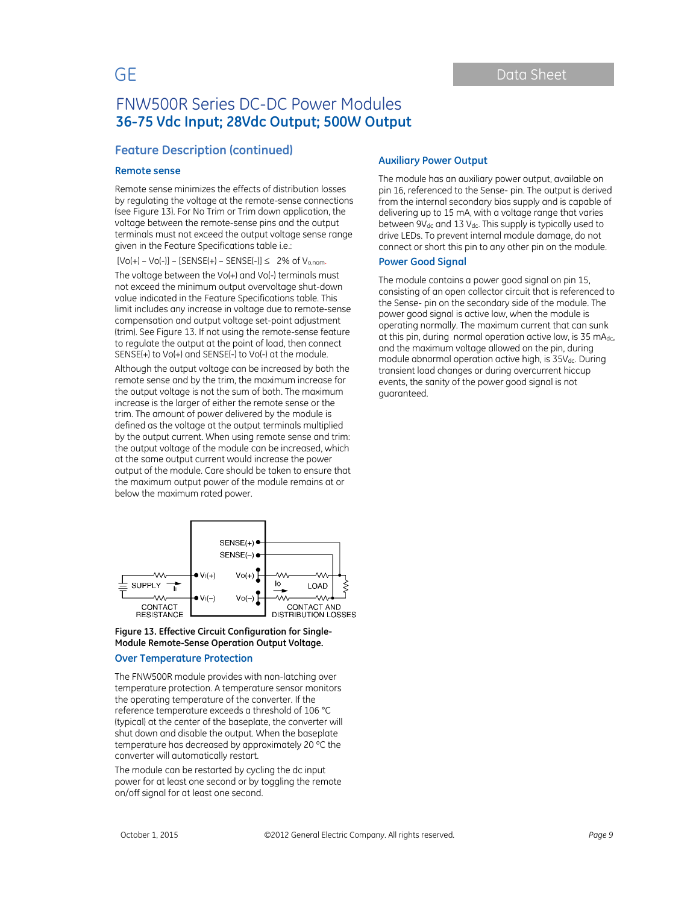### **Feature Description (continued)**

#### **Remote sense**

Remote sense minimizes the effects of distribution losses by regulating the voltage at the remote-sense connections (see Figure 13). For No Trim or Trim down application, the voltage between the remote-sense pins and the output terminals must not exceed the output voltage sense range given in the Feature Specifications table i.e.:

 $[Vol+]-Vol-]] - [SENSE(+) - SENSE(-)] \leq 2\%$  of  $V_{0,nom}$ .

The voltage between the Vo(+) and Vo(-) terminals must not exceed the minimum output overvoltage shut-down value indicated in the Feature Specifications table. This limit includes any increase in voltage due to remote-sense compensation and output voltage set-point adjustment (trim). See Figure 13. If not using the remote-sense feature to regulate the output at the point of load, then connect SENSE(+) to Vo(+) and SENSE(-) to Vo(-) at the module.

Although the output voltage can be increased by both the remote sense and by the trim, the maximum increase for the output voltage is not the sum of both. The maximum increase is the larger of either the remote sense or the trim. The amount of power delivered by the module is defined as the voltage at the output terminals multiplied by the output current. When using remote sense and trim: the output voltage of the module can be increased, which at the same output current would increase the power output of the module. Care should be taken to ensure that the maximum output power of the module remains at or below the maximum rated power.



#### **Figure 13. Effective Circuit Configuration for Single-Module Remote-Sense Operation Output Voltage.**

### **Over Temperature Protection**

The FNW500R module provides with non-latching over temperature protection. A temperature sensor monitors the operating temperature of the converter. If the reference temperature exceeds a threshold of 106 °C (typical) at the center of the baseplate, the converter will shut down and disable the output. When the baseplate temperature has decreased by approximately 20 ºC the converter will automatically restart.

The module can be restarted by cycling the dc input power for at least one second or by toggling the remote on/off signal for at least one second.

### **Auxiliary Power Output**

The module has an auxiliary power output, available on pin 16, referenced to the Sense- pin. The output is derived from the internal secondary bias supply and is capable of delivering up to 15 mA, with a voltage range that varies between 9V<sub>dc</sub> and 13 V<sub>dc</sub>. This supply is typically used to drive LEDs. To prevent internal module damage, do not connect or short this pin to any other pin on the module.

### **Power Good Signal**

The module contains a power good signal on pin 15, consisting of an open collector circuit that is referenced to the Sense- pin on the secondary side of the module. The power good signal is active low, when the module is operating normally. The maximum current that can sunk at this pin, during normal operation active low, is 35 mAdc, and the maximum voltage allowed on the pin, during module abnormal operation active high, is 35V<sub>dc</sub>. During transient load changes or during overcurrent hiccup events, the sanity of the power good signal is not guaranteed.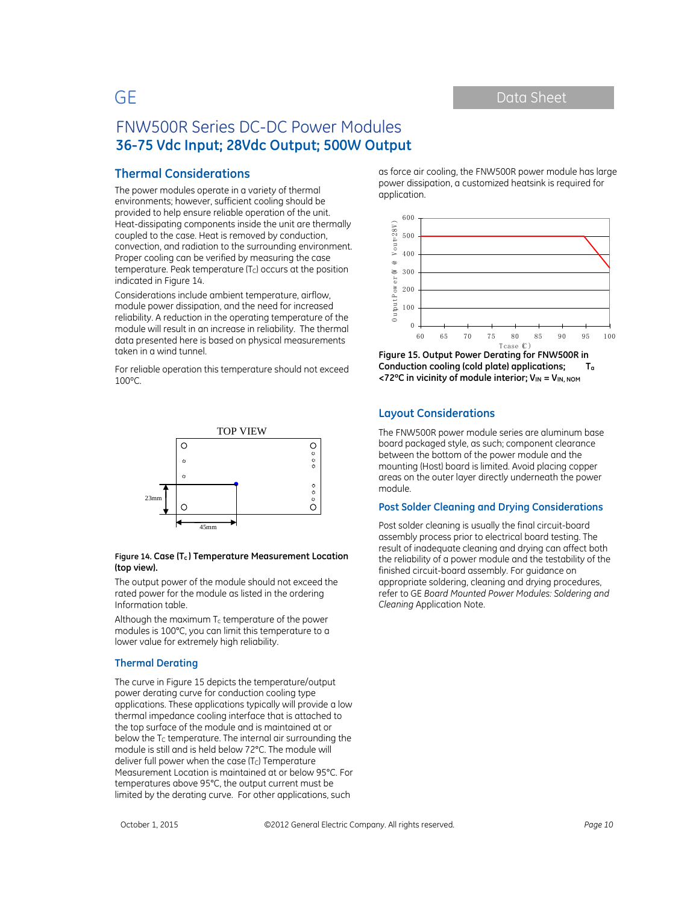### **Thermal Considerations**

The power modules operate in a variety of thermal environments; however, sufficient cooling should be provided to help ensure reliable operation of the unit. Heat-dissipating components inside the unit are thermally coupled to the case. Heat is removed by conduction, convection, and radiation to the surrounding environment. Proper cooling can be verified by measuring the case temperature. Peak temperature (Tc) occurs at the position indicated in Figure 14.

Considerations include ambient temperature, airflow, module power dissipation, and the need for increased reliability. A reduction in the operating temperature of the module will result in an increase in reliability. The thermal data presented here is based on physical measurements taken in a wind tunnel.

For reliable operation this temperature should not exceed 100ºC.



#### **Figure 14. Case (Tc ) Temperature Measurement Location (top view).**

The output power of the module should not exceed the rated power for the module as listed in the ordering Information table.

Although the maximum  $T_c$  temperature of the power modules is 100°C, you can limit this temperature to a lower value for extremely high reliability.

#### **Thermal Derating**

The curve in Figure 15 depicts the temperature/output power derating curve for conduction cooling type applications. These applications typically will provide a low thermal impedance cooling interface that is attached to the top surface of the module and is maintained at or below the  $T<sub>C</sub>$  temperature. The internal air surrounding the module is still and is held below 72°C. The module will deliver full power when the case  $(T<sub>C</sub>)$  Temperature Measurement Location is maintained at or below 95°C. For temperatures above 95°C, the output current must be limited by the derating curve. For other applications, such

as force air cooling, the FNW500R power module has large power dissipation, a customized heatsink is required for application.



**Figure 15. Output Power Derating for FNW500R in Conduction cooling (cold plate) applications; Ta <72ºC in vicinity of module interior; VIN = VIN, NOM**

### **Layout Considerations**

The FNW500R power module series are aluminum base board packaged style, as such; component clearance between the bottom of the power module and the mounting (Host) board is limited. Avoid placing copper areas on the outer layer directly underneath the power module.

### **Post Solder Cleaning and Drying Considerations**

Post solder cleaning is usually the final circuit-board assembly process prior to electrical board testing. The result of inadequate cleaning and drying can affect both the reliability of a power module and the testability of the finished circuit-board assembly. For guidance on appropriate soldering, cleaning and drying procedures, refer to GE *Board Mounted Power Modules: Soldering and Cleaning* Application Note.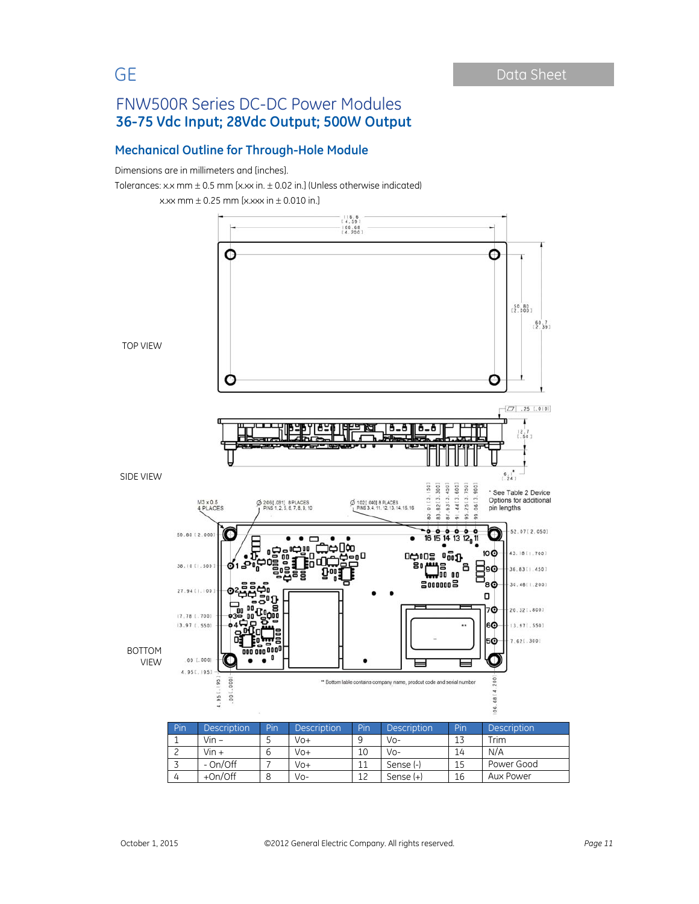# **Mechanical Outline for Through-Hole Module**

Dimensions are in millimeters and [inches].

Tolerances: x.x mm  $\pm$  0.5 mm [x.xx in.  $\pm$  0.02 in.] (Unless otherwise indicated)

x.xx mm  $\pm$  0.25 mm [x.xxx in  $\pm$  0.010 in.]

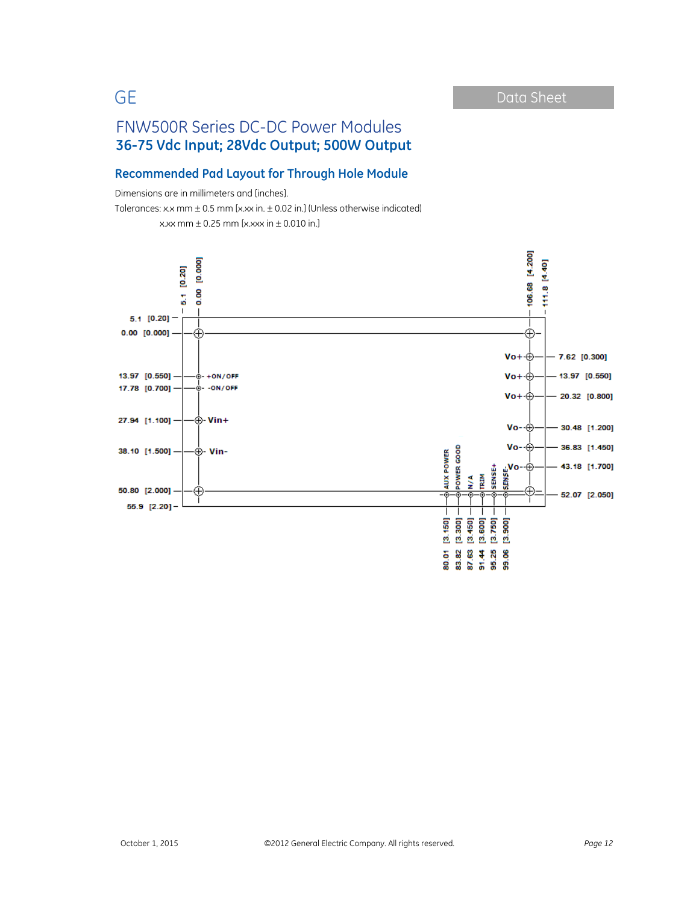### **Recommended Pad Layout for Through Hole Module**

Dimensions are in millimeters and [inches].

Tolerances: x.x mm  $\pm$  0.5 mm [x.xx in.  $\pm$  0.02 in.] (Unless otherwise indicated) x.xx mm  $\pm$  0.25 mm [x.xxx in  $\pm$  0.010 in.]